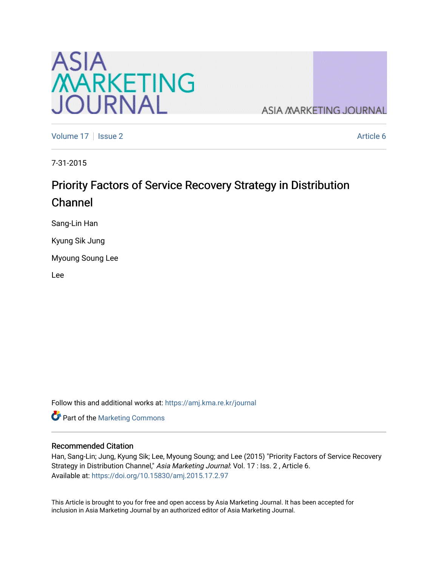

**ASIA MARKETING JOURNAL** 

[Volume 17](https://amj.kma.re.kr/journal/vol17) | [Issue 2](https://amj.kma.re.kr/journal/vol17/iss2) Article 6

7-31-2015

## Priority Factors of Service Recovery Strategy in Distribution Channel

Sang-Lin Han

Kyung Sik Jung

Myoung Soung Lee

Lee

Follow this and additional works at: [https://amj.kma.re.kr/journal](https://amj.kma.re.kr/journal?utm_source=amj.kma.re.kr%2Fjournal%2Fvol17%2Fiss2%2F6&utm_medium=PDF&utm_campaign=PDFCoverPages) 

Part of the [Marketing Commons](http://network.bepress.com/hgg/discipline/638?utm_source=amj.kma.re.kr%2Fjournal%2Fvol17%2Fiss2%2F6&utm_medium=PDF&utm_campaign=PDFCoverPages)

#### Recommended Citation

Han, Sang-Lin; Jung, Kyung Sik; Lee, Myoung Soung; and Lee (2015) "Priority Factors of Service Recovery Strategy in Distribution Channel," Asia Marketing Journal: Vol. 17 : Iss. 2, Article 6. Available at:<https://doi.org/10.15830/amj.2015.17.2.97>

This Article is brought to you for free and open access by Asia Marketing Journal. It has been accepted for inclusion in Asia Marketing Journal by an authorized editor of Asia Marketing Journal.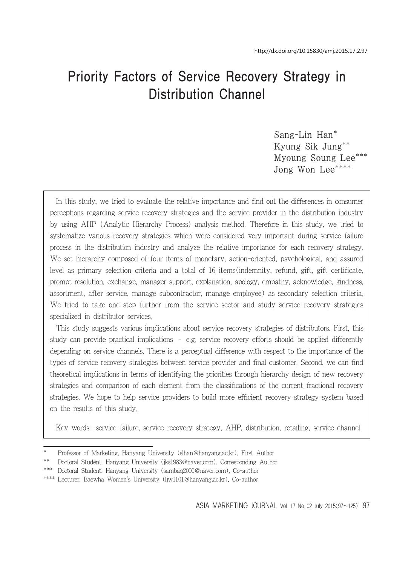# Priority Factors of Service Recovery Strategy in Distribution Channel

Sang-Lin Han\* Kyung Sik Jung\*\* Myoung Soung Lee<sup>\*</sup> Jong Won Lee\*\*\*\*

In this study, we tried to evaluate the relative importance and find out the differences in consumer perceptions regarding service recovery strategies and the service provider in the distribution industry by using AHP (Analytic Hierarchy Process) analysis method. Therefore in this study, we tried to systematize various recovery strategies which were considered very important during service failure process in the distribution industry and analyze the relative importance for each recovery strategy. We set hierarchy composed of four items of monetary, action-oriented, psychological, and assured level as primary selection criteria and a total of 16 items(indemnity, refund, gift, gift certificate, prompt resolution, exchange, manager support, explanation, apology, empathy, acknowledge, kindness, assortment, after service, manage subcontractor, manage employee) as secondary selection criteria. We tried to take one step further from the service sector and study service recovery strategies specialized in distributor services.

This study suggests various implications about service recovery strategies of distributors. First, this study can provide practical implications – e.g. service recovery efforts should be applied differently depending on service channels. There is a perceptual difference with respect to the importance of the types of service recovery strategies between service provider and final customer. Second, we can find theoretical implications in terms of identifying the priorities through hierarchy design of new recovery strategies and comparison of each element from the classifications of the current fractional recovery strategies. We hope to help service providers to build more efficient recovery strategy system based on the results of this study.

Key words: service failure, service recovery strategy, AHP, distribution, retailing, service channel

<sup>\*</sup> Professor of Marketing, Hanyang University (slhan@hanyang.ac.kr), First Author

<sup>\*\*</sup> Doctoral Student, Hanyang University (jks1983@naver.com), Corresponding Author

<sup>\*\*\*</sup> Doctoral Student, Hanyang University (sambaq2000@naver.com), Co-author

<sup>\*\*\*\*</sup> Lecturer, Baewha Women's University (ljw1101@hanyang.ac.kr), Co-author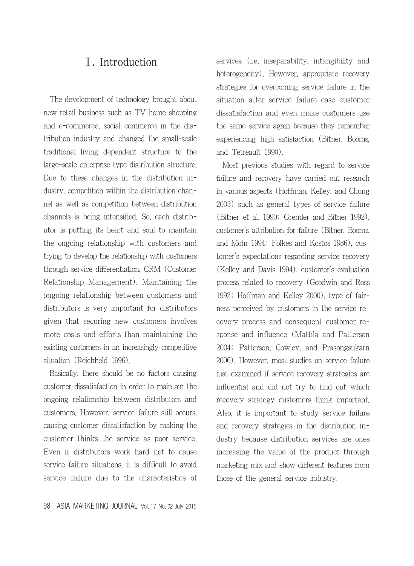## Ⅰ. Introduction

The development of technology brought about new retail business such as TV home shopping and e-commerce, social commerce in the distribution industry and changed the small-scale traditional living dependent structure to the large-scale enterprise type distribution structure. Due to these changes in the distribution industry, competition within the distribution channel as well as competition between distribution channels is being intensified. So, each distributor is putting its heart and soul to maintain the ongoing relationship with customers and trying to develop the relationship with customers through service differentiation, CRM (Customer Relationship Management). Maintaining the ongoing relationship between customers and distributors is very important for distributors given that securing new customers involves more costs and efforts than maintaining the existing customers in an increasingly competitive situation (Reichheld 1996).

Basically, there should be no factors causing customer dissatisfaction in order to maintain the ongoing relationship between distributors and customers. However, service failure still occurs, causing customer dissatisfaction by making the customer thinks the service as poor service. Even if distributors work hard not to cause service failure situations, it is difficult to avoid service failure due to the characteristics of

98 ASIA MARKETING JOURNAL Vol. 17 No. 02 July 2015

services (i.e. inseparability, intangibility and heterogeneity). However, appropriate recovery strategies for overcoming service failure in the situation after service failure ease customer dissatisfaction and even make customers use the same service again because they remember experiencing high satisfaction (Bitner, Booms, and Tetreault 1990).

Most previous studies with regard to service failure and recovery have carried out research in various aspects (Hoffman, Kelley, and Chung 2003) such as general types of service failure (Bitner et al. 1990; Gremler and Bitner 1992), customer's attribution for failure (Bitner, Booms, and Mohr 1994; Folkes and Kostos 1986), customer's expectations regarding service recovery (Kelley and Davis 1994), customer's evaluation process related to recovery (Goodwin and Ross 1992; Hoffman and Kelley 2000), type of fairness perceived by customers in the service recovery process and consequent customer response and influence (Mattila and Patterson 2004; Patterson, Cowley, and Prasongsukarn 2006). However, most studies on service failure just examined if service recovery strategies are influential and did not try to find out which recovery strategy customers think important. Also, it is important to study service failure and recovery strategies in the distribution industry because distribution services are ones increasing the value of the product through marketing mix and show different features from those of the general service industry.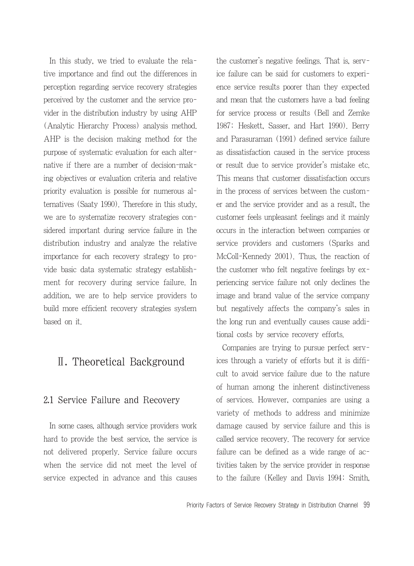In this study, we tried to evaluate the relative importance and find out the differences in perception regarding service recovery strategies perceived by the customer and the service provider in the distribution industry by using AHP (Analytic Hierarchy Process) analysis method. AHP is the decision making method for the purpose of systematic evaluation for each alternative if there are a number of decision-making objectives or evaluation criteria and relative priority evaluation is possible for numerous alternatives (Saaty 1990). Therefore in this study, we are to systematize recovery strategies considered important during service failure in the distribution industry and analyze the relative importance for each recovery strategy to provide basic data systematic strategy establishment for recovery during service failure. In addition, we are to help service providers to build more efficient recovery strategies system based on it.

## Ⅱ. Theoretical Background

#### 2.1 Service Failure and Recovery

In some cases, although service providers work hard to provide the best service, the service is not delivered properly. Service failure occurs when the service did not meet the level of service expected in advance and this causes the customer's negative feelings. That is, service failure can be said for customers to experience service results poorer than they expected and mean that the customers have a bad feeling for service process or results (Bell and Zemke 1987; Heskett, Sasser, and Hart 1990). Berry and Parasuraman (1991) defined service failure as dissatisfaction caused in the service process or result due to service provider's mistake etc. This means that customer dissatisfaction occurs in the process of services between the customer and the service provider and as a result, the customer feels unpleasant feelings and it mainly occurs in the interaction between companies or service providers and customers (Sparks and McColl-Kennedy 2001). Thus, the reaction of the customer who felt negative feelings by experiencing service failure not only declines the image and brand value of the service company but negatively affects the company's sales in the long run and eventually causes cause additional costs by service recovery efforts.

Companies are trying to pursue perfect services through a variety of efforts but it is difficult to avoid service failure due to the nature of human among the inherent distinctiveness of services. However, companies are using a variety of methods to address and minimize damage caused by service failure and this is called service recovery. The recovery for service failure can be defined as a wide range of activities taken by the service provider in response to the failure (Kelley and Davis 1994; Smith,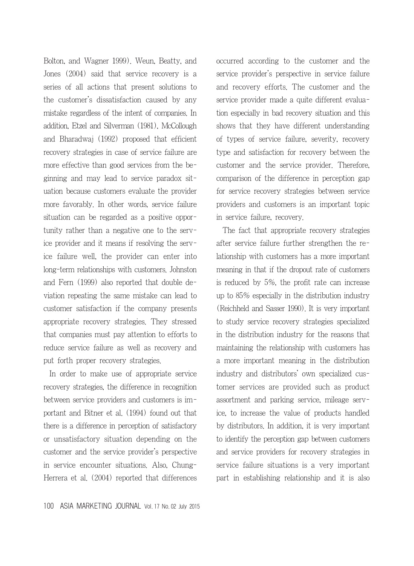Bolton, and Wagner 1999). Weun, Beatty, and Jones (2004) said that service recovery is a series of all actions that present solutions to the customer's dissatisfaction caused by any mistake regardless of the intent of companies. In addition, Etzel and Silverman (1981), McCollough and Bharadwaj (1992) proposed that efficient recovery strategies in case of service failure are more effective than good services from the beginning and may lead to service paradox situation because customers evaluate the provider more favorably. In other words, service failure situation can be regarded as a positive opportunity rather than a negative one to the service provider and it means if resolving the service failure well, the provider can enter into long-term relationships with customers. Johnston and Fern (1999) also reported that double deviation repeating the same mistake can lead to customer satisfaction if the company presents appropriate recovery strategies. They stressed that companies must pay attention to efforts to reduce service failure as well as recovery and put forth proper recovery strategies.

In order to make use of appropriate service recovery strategies, the difference in recognition between service providers and customers is important and Bitner et al. (1994) found out that there is a difference in perception of satisfactory or unsatisfactory situation depending on the customer and the service provider's perspective in service encounter situations. Also, Chung-Herrera et al. (2004) reported that differences

100 ASIA MARKETING JOURNAL Vol. 17 No. 02 July 2015

occurred according to the customer and the service provider's perspective in service failure and recovery efforts. The customer and the service provider made a quite different evaluation especially in bad recovery situation and this shows that they have different understanding of types of service failure, severity, recovery type and satisfaction for recovery between the customer and the service provider. Therefore, comparison of the difference in perception gap for service recovery strategies between service providers and customers is an important topic in service failure, recovery.

The fact that appropriate recovery strategies after service failure further strengthen the relationship with customers has a more important meaning in that if the dropout rate of customers is reduced by 5%, the profit rate can increase up to 85% especially in the distribution industry (Reichheld and Sasser 1990). It is very important to study service recovery strategies specialized in the distribution industry for the reasons that maintaining the relationship with customers has a more important meaning in the distribution industry and distributors' own specialized customer services are provided such as product assortment and parking service, mileage service, to increase the value of products handled by distributors. In addition, it is very important to identify the perception gap between customers and service providers for recovery strategies in service failure situations is a very important part in establishing relationship and it is also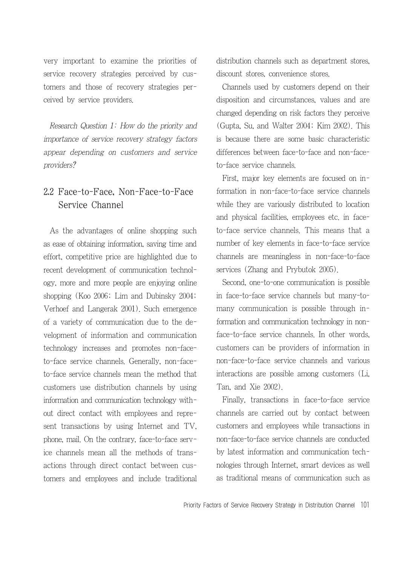very important to examine the priorities of service recovery strategies perceived by customers and those of recovery strategies perceived by service providers.

Research Question 1: How do the priority and importance of service recovery strategy factors appear depending on customers and service providers?

## 2.2 Face-to-Face, Non-Face-to-Face Service Channel

As the advantages of online shopping such as ease of obtaining information, saving time and effort, competitive price are highlighted due to recent development of communication technology, more and more people are enjoying online shopping (Koo 2006; Lim and Dubinsky 2004; Verhoef and Langerak 2001). Such emergence of a variety of communication due to the development of information and communication technology increases and promotes non-faceto-face service channels. Generally, non-faceto-face service channels mean the method that customers use distribution channels by using information and communication technology without direct contact with employees and represent transactions by using Internet and TV, phone, mail. On the contrary, face-to-face service channels mean all the methods of transactions through direct contact between customers and employees and include traditional distribution channels such as department stores, discount stores, convenience stores.

Channels used by customers depend on their disposition and circumstances, values and are changed depending on risk factors they perceive (Gupta, Su, and Walter 2004; Kim 2002). This is because there are some basic characteristic differences between face-to-face and non-faceto-face service channels.

First, major key elements are focused on information in non-face-to-face service channels while they are variously distributed to location and physical facilities, employees etc. in faceto-face service channels. This means that a number of key elements in face-to-face service channels are meaningless in non-face-to-face services (Zhang and Prybutok 2005).

Second, one-to-one communication is possible in face-to-face service channels but many-tomany communication is possible through information and communication technology in nonface-to-face service channels. In other words, customers can be providers of information in non-face-to-face service channels and various interactions are possible among customers (Li, Tan, and Xie 2002).

Finally, transactions in face-to-face service channels are carried out by contact between customers and employees while transactions in non-face-to-face service channels are conducted by latest information and communication technologies through Internet, smart devices as well as traditional means of communication such as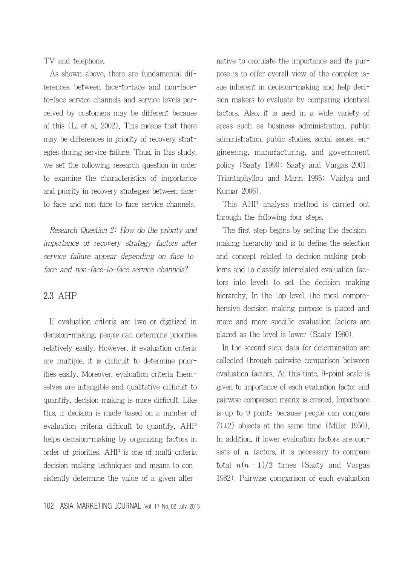TV and telephone.

As shown above, there are fundamental differences between face-to-face and non-faceto-face service channels and service levels perceived by customers may be different because of this (Li et al. 2002). This means that there may be differences in priority of recovery strategies during service failure. Thus, in this study, we set the following research question in order to examine the characteristics of importance and priority in recovery strategies between faceto-face and non-face-to-face service channels.

Research Question 2: How do the priority and importance of recovery strategy factors after service failure appear depending on face-toface and non-face-to-face service channels?

#### 2.3 AHP

If evaluation criteria are two or digitized in decision-making, people can determine priorities relatively easily. However, if evaluation criteria are multiple, it is difficult to determine priorities easily. Moreover, evaluation criteria themselves are intangible and qualitative difficult to quantify, decision making is more difficult. Like this, if decision is made based on a number of evaluation criteria difficult to quantify, AHP helps decision-making by organizing factors in order of priorities. AHP is one of multi-criteria decision making techniques and means to consistently determine the value of a given alternative to calculate the importance and its purpose is to offer overall view of the complex issue inherent in decision-making and help decision makers to evaluate by comparing identical factors. Also, it is used in a wide variety of areas such as business administration, public administration, public studies, social issues, engineering, manufacturing, and government policy (Saaty 1990; Saaty and Vargas 2001; Triantaphyllou and Mann 1995; Vaidya and Kumar 2006).

This AHP analysis method is carried out through the following four steps.

The first step begins by setting the decisionmaking hierarchy and is to define the selection and concept related to decision-making problems and to classify interrelated evaluation factors into levels to set the decision making hierarchy. In the top level, the most comprehensive decision-making purpose is placed and more and more specific evaluation factors are placed as the level is lower (Saaty 1980).

In the second step, data for determination are collected through pairwise comparison between evaluation factors. At this time, 9-point scale is given to importance of each evaluation factor and pairwise comparison matrix is created. Importance is up to 9 points because people can compare  $7(\pm 2)$  objects at the same time (Miller 1956). In addition, if lower evaluation factors are consists of  $n$  factors, it is necessary to compare total  $n(n-1)/2$  times (Saaty and Vargas 1982). Pairwise comparison of each evaluation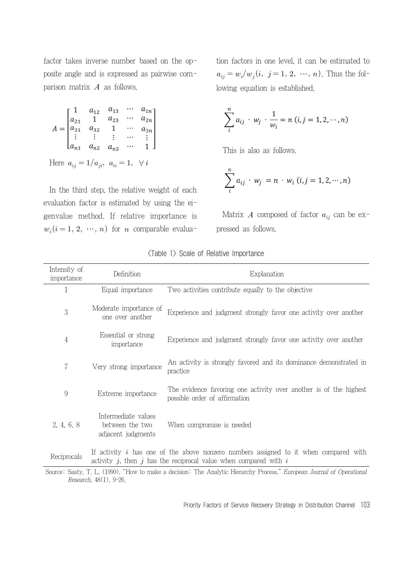factor takes inverse number based on the opposite angle and is expressed as pairwise comparison matrix  $A$  as follows.

$$
A = \begin{bmatrix} 1 & a_{12} & a_{13} & \cdots & a_{1n} \\ a_{21} & 1 & a_{23} & \cdots & a_{2n} \\ a_{31} & a_{32} & 1 & \cdots & a_{3n} \\ \vdots & \vdots & \vdots & \cdots & \vdots \\ a_{n1} & a_{n2} & a_{n3} & \cdots & 1 \end{bmatrix}
$$
  
Here  $a_{ij} = 1/a_{ji}$ ,  $a_{ii} = 1$ ,  $\forall i$ 

In the third step, the relative weight of each evaluation factor is estimated by using the eigenvalue method. If relative importance is  $w_i(i = 1, 2, \dots, n)$  for *n* comparable evalua-

tion factors in one level, it can be estimated to  $a_{ij} = w_i/w_j(i, j = 1, 2, ..., n)$ . Thus the following equation is established.

$$
\sum_{i}^{n} a_{ij} \cdot w_j \cdot \frac{1}{w_i} = n (i, j = 1, 2, \cdots, n)
$$

This is also as follows.

$$
\sum_{i}^{n} a_{ij} \cdot w_j = n \cdot w_i \ (i, j = 1, 2, \cdots, n)
$$

Matrix A composed of factor  $a_{ij}$  can be expressed as follows.

| Intensity of<br>importance | Definition                                                   | Explanation                                                                                                                                                  |
|----------------------------|--------------------------------------------------------------|--------------------------------------------------------------------------------------------------------------------------------------------------------------|
| 1                          | Equal importance                                             | Two activities contribute equally to the objective                                                                                                           |
| 3                          | Moderate importance of<br>one over another                   | Experience and judgment strongly favor one activity over another                                                                                             |
| 4                          | Essential or strong<br>importance                            | Experience and judgment strongly favor one activity over another                                                                                             |
| 7                          | Very strong importance                                       | An activity is strongly favored and its dominance demonstrated in<br>practice                                                                                |
| 9                          | Extreme importance                                           | The evidence favoring one activity over another is of the highest<br>possible order of affirmation                                                           |
| 2, 4, 6, 8                 | Intermediate values<br>between the two<br>adjacent judgments | When compromise is needed                                                                                                                                    |
| Reciprocals                |                                                              | If activity $i$ has one of the above nonzero numbers assigned to it when compared with<br>activity j, then j has the reciprocal value when compared with $i$ |

|  |  |  |  | <table 1=""> Scale of Relative Importance</table> |
|--|--|--|--|---------------------------------------------------|
|--|--|--|--|---------------------------------------------------|

Source: Saaty, T. L. (1990), "How to make a decision: The Analytic Hierarchy Process," European Journal of Operational Research, 48(1), 9-26.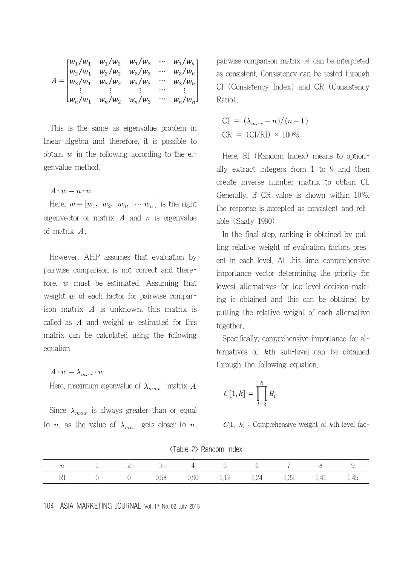$$
A = \begin{bmatrix} w_1/w_1 & w_1/w_2 & w_1/w_3 & \cdots & w_1/w_n \\ w_2/w_1 & w_2/w_2 & w_2/w_3 & \cdots & w_2/w_n \\ w_3/w_1 & w_3/w_2 & w_3/w_3 & \cdots & w_3/w_n \\ \vdots & \vdots & \vdots & \vdots & \cdots & \vdots \\ w_n/w_1 & w_n/w_2 & w_n/w_3 & \cdots & w_n/w_n \end{bmatrix}
$$

This is the same as eigenvalue problem in linear algebra and therefore, it is possible to obtain  $w$  in the following according to the eigenvalue method.

$$
A\cdot w=n\cdot w
$$

Here,  $w = [w_1, w_2, w_3, \cdots w_n]$  is the right eigenvector of matrix  $A$  and  $n$  is eigenvalue of matrix  $A$ .

However, AHP assumes that evaluation by pairwise comparison is not correct and therefore,  $w$  must be estimated. Assuming that weight  $w$  of each factor for pairwise comparison matrix  $\boldsymbol{A}$  is unknown, this matrix is called as  $A$  and weight  $w$  estimated for this matrix can be calculated using the following equation.

$$
A\cdot w=\lambda_{max}\cdot w
$$

Here, maximum eigenvalue of 
$$
\lambda_{max}
$$
: matrix A

Since  $\lambda_{max}$  is always greater than or equal to *n*, as the value of  $\lambda_{max}$  gets closer to *n*, pairwise comparison matrix  $A$  can be interpreted as consistent. Consistency can be tested through CI (Consistency Index) and CR (Consistency Ratio).

$$
CI = (\lambda_{max} - n)/(n - 1)
$$
  
CR = (CI/RI) × 100%

Here, RI (Random Index) means to optionally extract integers from 1 to 9 and then create inverse number matrix to obtain CI. Generally, if CR value is shown within 10%, the response is accepted as consistent and reliable (Saaty 1990).

In the final step, ranking is obtained by putting relative weight of evaluation factors present in each level. At this time, comprehensive importance vector determining the priority for lowest alternatives for top level decision-making is obtained and this can be obtained by putting the relative weight of each alternative together.

Specifically, comprehensive importance for alternatives of  $k$ th sub-level can be obtained through the following equation.

$$
C[1,k] = \prod_{i=2}^{k} B_i
$$

 $C[1, k]$ : Comprehensive weight of kth level fac-

|  |                | 2 3 4 5 6 7 8                      |  |  |  |
|--|----------------|------------------------------------|--|--|--|
|  | $\overline{1}$ | 0.58 0.90 1.12 1.24 1.32 1.41 1.45 |  |  |  |

<Table 2> Random Index

104 ASIA MARKETING JOURNAL Vol. 17 No. 02 July 2015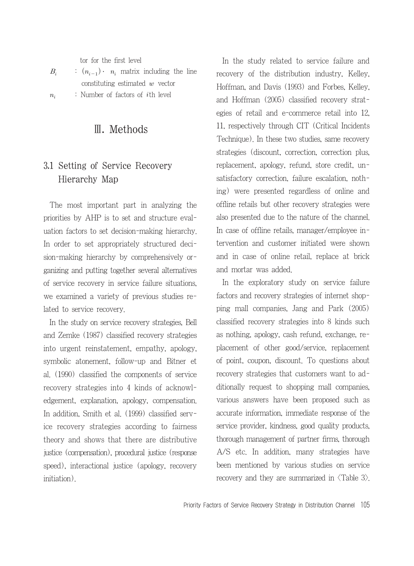tor for the first level

| $B_i$       | : $(n_{i-1})$ $\cdot$ $n_i$ matrix including the line |
|-------------|-------------------------------------------------------|
|             | constituting estimated $w$ vector                     |
| $n_{\cdot}$ | : Number of factors of <i>i</i> th level              |

## Ⅲ. Methods

## 3.1 Setting of Service Recovery Hierarchy Map

The most important part in analyzing the priorities by AHP is to set and structure evaluation factors to set decision-making hierarchy. In order to set appropriately structured decision-making hierarchy by comprehensively organizing and putting together several alternatives of service recovery in service failure situations, we examined a variety of previous studies related to service recovery.

In the study on service recovery strategies, Bell and Zemke (1987) classified recovery strategies into urgent reinstatement, empathy, apology, symbolic atonement, follow-up and Bitner et al. (1990) classified the components of service recovery strategies into 4 kinds of acknowledgement, explanation, apology, compensation. In addition, Smith et al. (1999) classified service recovery strategies according to fairness theory and shows that there are distributive justice (compensation), procedural justice (response speed), interactional justice (apology, recovery initiation).

In the study related to service failure and recovery of the distribution industry, Kelley, Hoffman, and Davis (1993) and Forbes, Kelley, and Hoffman (2005) classified recovery strategies of retail and e-commerce retail into 12, 11, respectively through CIT (Critical Incidents Technique). In these two studies, same recovery strategies (discount, correction, correction plus, replacement, apology, refund, store credit, unsatisfactory correction, failure escalation, nothing) were presented regardless of online and offline retails but other recovery strategies were also presented due to the nature of the channel. In case of offline retails, manager/employee intervention and customer initiated were shown and in case of online retail, replace at brick and mortar was added.

In the exploratory study on service failure factors and recovery strategies of internet shopping mall companies, Jang and Park (2005) classified recovery strategies into 8 kinds such as nothing, apology, cash refund, exchange, replacement of other good/service, replacement of point, coupon, discount. To questions about recovery strategies that customers want to additionally request to shopping mall companies, various answers have been proposed such as accurate information, immediate response of the service provider, kindness, good quality products, thorough management of partner firms, thorough A/S etc. In addition, many strategies have been mentioned by various studies on service recovery and they are summarized in  $\langle$ Table 3 $\rangle$ .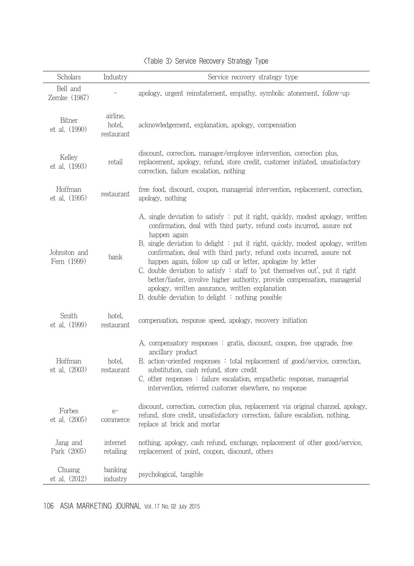| Scholars                     | Industry                         | Service recovery strategy type                                                                                                                                                                                                                                                                                                                                                                                                                                                                                                                                                                                                                                                |
|------------------------------|----------------------------------|-------------------------------------------------------------------------------------------------------------------------------------------------------------------------------------------------------------------------------------------------------------------------------------------------------------------------------------------------------------------------------------------------------------------------------------------------------------------------------------------------------------------------------------------------------------------------------------------------------------------------------------------------------------------------------|
| Bell and<br>Zemke (1987)     |                                  | apology, urgent reinstatement, empathy, symbolic atonement, follow-up                                                                                                                                                                                                                                                                                                                                                                                                                                                                                                                                                                                                         |
| Bitner<br>et al. (1990)      | airline,<br>hotel.<br>restaurant | acknowledgement, explanation, apology, compensation                                                                                                                                                                                                                                                                                                                                                                                                                                                                                                                                                                                                                           |
| Kelley<br>et al. (1993)      | retail                           | discount, correction, manager/employee intervention, correction plus,<br>replacement, apology, refund, store credit, customer initiated, unsatisfactory<br>correction, failure escalation, nothing                                                                                                                                                                                                                                                                                                                                                                                                                                                                            |
| Hoffman<br>et al. (1995)     | restaurant                       | free food, discount, coupon, managerial intervention, replacement, correction,<br>apology, nothing                                                                                                                                                                                                                                                                                                                                                                                                                                                                                                                                                                            |
| Johnston and<br>Fern (1999)  | bank                             | A, single deviation to satisfy : put it right, quickly, modest apology, written<br>confirmation, deal with third party, refund costs incurred, assure not<br>happen again<br>B. single deviation to delight $\div$ put it right, quickly, modest apology, written<br>confirmation, deal with third party, refund costs incurred, assure not<br>happen again, follow up call or letter, apologize by letter<br>C, double deviation to satisfy : staff to put themselves out, put it right<br>better/faster, involve higher authority, provide compensation, managerial<br>apology, written assurance, written explanation<br>D. double deviation to delight : nothing possible |
| Smith<br>et al. (1999)       | hotel,<br>restaurant             | compensation, response speed, apology, recovery initiation                                                                                                                                                                                                                                                                                                                                                                                                                                                                                                                                                                                                                    |
| Hoffman<br>$et$ al. $(2003)$ | hotel,<br>restaurant             | A. compensatory responses : gratis, discount, coupon, free upgrade, free<br>ancillary product<br>B. action-oriented responses: total replacement of good/service, correction,<br>substitution, cash refund, store credit<br>C, other responses: failure escalation, empathetic response, managerial<br>intervention, referred customer elsewhere, no response                                                                                                                                                                                                                                                                                                                 |
| Forbes<br>et al. (2005)      | $e-$<br>commerce                 | discount, correction, correction plus, replacement via original channel, apology,<br>refund, store credit, unsatisfactory correction, failure escalation, nothing,<br>replace at brick and mortar                                                                                                                                                                                                                                                                                                                                                                                                                                                                             |
| Jang and<br>Park (2005)      | internet<br>retailing            | nothing, apology, cash refund, exchange, replacement of other good/service,<br>replacement of point, coupon, discount, others                                                                                                                                                                                                                                                                                                                                                                                                                                                                                                                                                 |
| Chuang<br>et al. (2012)      | banking<br>industry              | psychological, tangible                                                                                                                                                                                                                                                                                                                                                                                                                                                                                                                                                                                                                                                       |

#### <Table 3> Service Recovery Strategy Type

106 ASIA MARKETING JOURNAL Vol. 17 No. 02 July 2015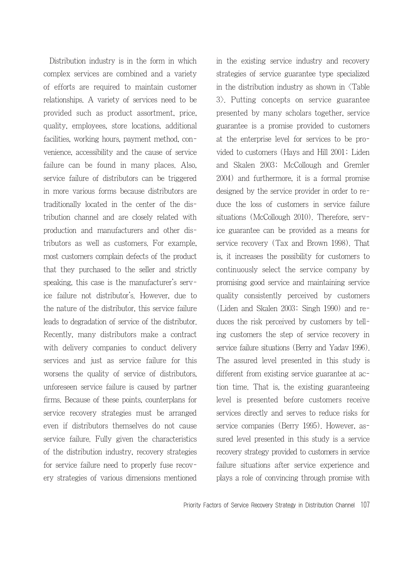Distribution industry is in the form in which complex services are combined and a variety of efforts are required to maintain customer relationships. A variety of services need to be provided such as product assortment, price, quality, employees, store locations, additional facilities, working hours, payment method, convenience, accessibility and the cause of service failure can be found in many places. Also, service failure of distributors can be triggered in more various forms because distributors are traditionally located in the center of the distribution channel and are closely related with production and manufacturers and other distributors as well as customers. For example, most customers complain defects of the product that they purchased to the seller and strictly speaking, this case is the manufacturer's service failure not distributor's. However, due to the nature of the distributor, this service failure leads to degradation of service of the distributor. Recently, many distributors make a contract with delivery companies to conduct delivery services and just as service failure for this worsens the quality of service of distributors, unforeseen service failure is caused by partner firms. Because of these points, counterplans for service recovery strategies must be arranged even if distributors themselves do not cause service failure. Fully given the characteristics of the distribution industry, recovery strategies for service failure need to properly fuse recovery strategies of various dimensions mentioned

in the existing service industry and recovery strategies of service guarantee type specialized in the distribution industry as shown in <Table 3>. Putting concepts on service guarantee presented by many scholars together, service guarantee is a promise provided to customers at the enterprise level for services to be provided to customers (Hays and Hill 2001; Liden and Skalen 2003; McCollough and Gremler 2004) and furthermore, it is a formal promise designed by the service provider in order to reduce the loss of customers in service failure situations (McCollough 2010). Therefore, service guarantee can be provided as a means for service recovery (Tax and Brown 1998). That is, it increases the possibility for customers to continuously select the service company by promising good service and maintaining service quality consistently perceived by customers (Liden and Skalen 2003; Singh 1990) and reduces the risk perceived by customers by telling customers the step of service recovery in service failure situations (Berry and Yadav 1996). The assured level presented in this study is different from existing service guarantee at action time. That is, the existing guaranteeing level is presented before customers receive services directly and serves to reduce risks for service companies (Berry 1995). However, assured level presented in this study is a service recovery strategy provided to customers in service failure situations after service experience and plays a role of convincing through promise with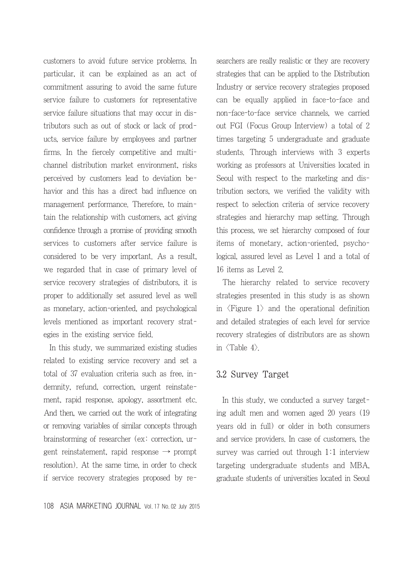customers to avoid future service problems. In particular, it can be explained as an act of commitment assuring to avoid the same future service failure to customers for representative service failure situations that may occur in distributors such as out of stock or lack of products, service failure by employees and partner firms. In the fiercely competitive and multichannel distribution market environment, risks perceived by customers lead to deviation behavior and this has a direct bad influence on management performance. Therefore, to maintain the relationship with customers, act giving confidence through a promise of providing smooth services to customers after service failure is considered to be very important. As a result, we regarded that in case of primary level of service recovery strategies of distributors, it is proper to additionally set assured level as well as monetary, action-oriented, and psychological levels mentioned as important recovery strategies in the existing service field.

In this study, we summarized existing studies related to existing service recovery and set a total of 37 evaluation criteria such as free, indemnity, refund, correction, urgent reinstatement, rapid response, apology, assortment etc. And then, we carried out the work of integrating or removing variables of similar concepts through brainstorming of researcher (ex: correction, urgent reinstatement, rapid response  $\rightarrow$  prompt resolution). At the same time, in order to check if service recovery strategies proposed by re-

108 ASIA MARKETING JOURNAL Vol. 17 No. 02 July 2015

searchers are really realistic or they are recovery strategies that can be applied to the Distribution Industry or service recovery strategies proposed can be equally applied in face-to-face and non-face-to-face service channels, we carried out FGI (Focus Group Interview) a total of 2 times targeting 5 undergraduate and graduate students. Through interviews with 3 experts working as professors at Universities located in Seoul with respect to the marketing and distribution sectors, we verified the validity with respect to selection criteria of service recovery strategies and hierarchy map setting. Through this process, we set hierarchy composed of four items of monetary, action-oriented, psychological, assured level as Level 1 and a total of 16 items as Level 2.

The hierarchy related to service recovery strategies presented in this study is as shown in  $\langle$ Figure 1 $\rangle$  and the operational definition and detailed strategies of each level for service recovery strategies of distributors are as shown in  $\langle$ Table 4 $\rangle$ .

#### 3.2 Survey Target

In this study, we conducted a survey targeting adult men and women aged 20 years (19 years old in full) or older in both consumers and service providers. In case of customers, the survey was carried out through 1:1 interview targeting undergraduate students and MBA, graduate students of universities located in Seoul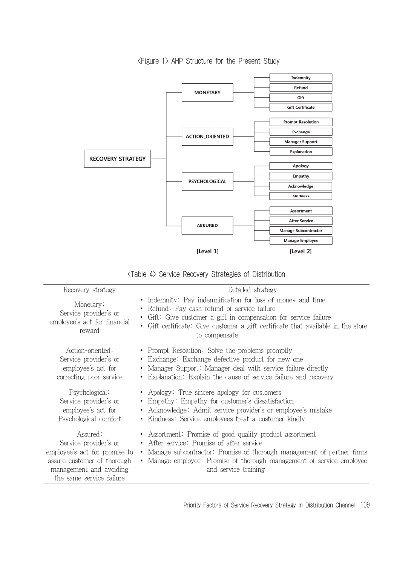

<Figure 1> AHP Structure for the Present Study

| $\langle$ Table 4 $\rangle$ Service Recovery Strategies of Distribution |  |  |  |  |
|-------------------------------------------------------------------------|--|--|--|--|
|-------------------------------------------------------------------------|--|--|--|--|

| Recovery strategy                                                                                                                                        | Detailed strategy                                                                                                                                                                                                                                                                    |
|----------------------------------------------------------------------------------------------------------------------------------------------------------|--------------------------------------------------------------------------------------------------------------------------------------------------------------------------------------------------------------------------------------------------------------------------------------|
| Monetary:<br>Service provider's or<br>employee's act for financial<br>reward                                                                             | • Indemnity: Pay indemnification for loss of money and time<br>• Refund: Pay cash refund of service failure<br>• Gift: Give customer a gift in compensation for service failure<br>• Gift certificate: Give customer a gift certificate that available in the store<br>to compensate |
| Action-oriented:<br>Service provider's or<br>employee's act for<br>correcting poor service                                                               | • Prompt Resolution: Solve the problems promptly<br>• Exchange: Exchange defective product for new one<br>• Manager Support: Manager deal with service failure directly<br>• Explanation: Explain the cause of service failure and recovery                                          |
| Psychological:<br>Service provider's or<br>employee's act for<br>Psychological comfort                                                                   | • Apology: True sincere apology for customers<br>• Empathy: Empathy for customer's dissatisfaction<br>• Acknowledge: Admit service provider's or employee's mistake<br>• Kindness: Service employees treat a customer kindly                                                         |
| Assured:<br>Service provider's or<br>employee's act for promise to<br>assure customer of thorough<br>management and avoiding<br>the same service failure | • Assortment: Promise of good quality product assortment<br>• After service: Promise of after service<br>• Manage subcontractor: Promise of thorough management of partner firms<br>• Manage employee: Promise of thorough management of service employee<br>and service training    |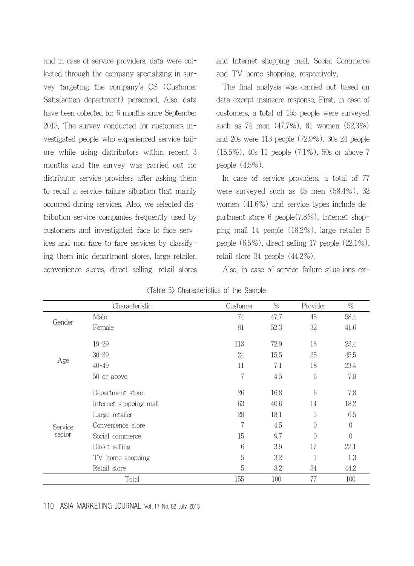and in case of service providers, data were collected through the company specializing in survey targeting the company's CS (Customer Satisfaction department) personnel. Also, data have been collected for 6 months since September 2013. The survey conducted for customers investigated people who experienced service failure while using distributors within recent 3 months and the survey was carried out for distributor service providers after asking them to recall a service failure situation that mainly occurred during services. Also, we selected distribution service companies frequently used by customers and investigated face-to-face services and non-face-to-face services by classifying them into department stores, large retailer, convenience stores, direct selling, retail stores and Internet shopping mall, Social Commerce and TV home shopping, respectively.

The final analysis was carried out based on data except insincere response. First, in case of customers, a total of 155 people were surveyed such as 74 men (47.7%), 81 women (52.3%) and 20s were 113 people (72.9%), 30s 24 people (15.5%), 40s 11 people (7.1%), 50s or above 7 people (4.5%).

In case of service providers, a total of 77 were surveyed such as 45 men (58.4%), 32 women (41.6%) and service types include department store 6 people(7.8%), Internet shopping mall 14 people (18.2%), large retailer 5 people (6.5%), direct selling 17 people (22.1%), retail store 34 people (44.2%).

Also, in case of service failure situations ex-

|                             | Characteristic                                                                                                                                                                                                                    | Customer                                                                                                                                                                                                                                                                 | $\%$ | Provider | $\%$           |
|-----------------------------|-----------------------------------------------------------------------------------------------------------------------------------------------------------------------------------------------------------------------------------|--------------------------------------------------------------------------------------------------------------------------------------------------------------------------------------------------------------------------------------------------------------------------|------|----------|----------------|
|                             | Male                                                                                                                                                                                                                              | 74                                                                                                                                                                                                                                                                       | 47.7 | 45       | 58.4           |
|                             | Female<br>$19 - 29$<br>$30 - 39$<br>Age<br>$40 - 49$<br>50 or above<br>Department store<br>Internet shopping mall<br>Large retailer<br>Convenience store<br>Social commerce<br>Direct selling<br>TV home shopping<br>Retail store | 81                                                                                                                                                                                                                                                                       | 52.3 | 32       | 41.6           |
|                             |                                                                                                                                                                                                                                   | 72,9<br>18<br>113<br>35<br>24<br>15.5<br>7.1<br>18<br>11<br>7<br>6<br>4.5<br>6<br>26<br>16.8<br>63<br>14<br>40.6<br>5<br>28<br>18.1<br>7<br>4.5<br>$\left( \right)$<br>15<br>9.7<br>$\left( \right)$<br>6<br>3.9<br>17<br>5<br>3.2<br>5<br>3.2<br>34<br>77<br>100<br>155 | 23.4 |          |                |
| Gender<br>Service<br>sector |                                                                                                                                                                                                                                   |                                                                                                                                                                                                                                                                          |      | 45,5     |                |
|                             |                                                                                                                                                                                                                                   |                                                                                                                                                                                                                                                                          |      |          | 23.4           |
|                             |                                                                                                                                                                                                                                   |                                                                                                                                                                                                                                                                          |      |          | 7.8            |
|                             |                                                                                                                                                                                                                                   |                                                                                                                                                                                                                                                                          |      |          | 7,8            |
|                             |                                                                                                                                                                                                                                   |                                                                                                                                                                                                                                                                          |      |          | 18.2           |
|                             |                                                                                                                                                                                                                                   |                                                                                                                                                                                                                                                                          | 6.5  |          |                |
|                             |                                                                                                                                                                                                                                   |                                                                                                                                                                                                                                                                          |      |          | $\overline{0}$ |
|                             |                                                                                                                                                                                                                                   |                                                                                                                                                                                                                                                                          |      |          | $\overline{0}$ |
|                             |                                                                                                                                                                                                                                   |                                                                                                                                                                                                                                                                          |      |          | 22.1           |
|                             |                                                                                                                                                                                                                                   |                                                                                                                                                                                                                                                                          |      |          | 1.3            |
|                             |                                                                                                                                                                                                                                   | Total                                                                                                                                                                                                                                                                    |      | 44.2     |                |
|                             |                                                                                                                                                                                                                                   |                                                                                                                                                                                                                                                                          |      |          | 100            |

| <table 5=""> Characteristics of the Sample</table> |  |  |  |
|----------------------------------------------------|--|--|--|
|----------------------------------------------------|--|--|--|

#### 110 ASIA MARKETING JOURNAL Vol. 17 No. 02 July 2015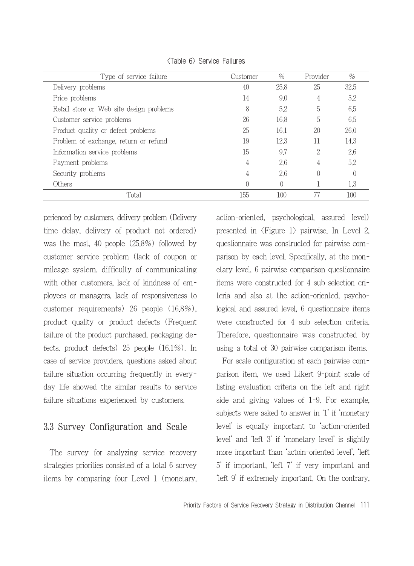| Type of service failure                  | Customer         | $\%$     | Provider | %    |
|------------------------------------------|------------------|----------|----------|------|
| Delivery problems                        | 40               | 25.8     | 25       | 32.5 |
| Price problems                           | 14               | 9.0      | 4        | 5.2  |
| Retail store or Web site design problems | 8                | 5.2      | 5        | 6.5  |
| Customer service problems                | 26               | 16.8     | 5        | 6.5  |
| Product quality or defect problems       | 25               | 16.1     | 20       | 26.0 |
| Problem of exchange, return or refund    | 19               | 12.3     | 11       | 14.3 |
| Information service problems             | 15               | 9.7      | 2        | 2.6  |
| Payment problems                         | 4                | 2.6      | 4        | 5.2  |
| Security problems                        | 4                | 2.6      |          |      |
| Others                                   | $\left( \right)$ | $\Omega$ |          | 1.3  |
| Total                                    | 155              | 100      |          | 100  |

<Table 6> Service Failures

perienced by customers, delivery problem (Delivery time delay, delivery of product not ordered) was the most, 40 people (25.8%) followed by customer service problem (lack of coupon or mileage system, difficulty of communicating with other customers, lack of kindness of employees or managers, lack of responsiveness to customer requirements) 26 people (16.8%), product quality or product defects (Frequent failure of the product purchased, packaging defects, product defects) 25 people (16.1%). In case of service providers, questions asked about failure situation occurring frequently in everyday life showed the similar results to service failure situations experienced by customers.

### 3.3 Survey Configuration and Scale

The survey for analyzing service recovery strategies priorities consisted of a total 6 survey items by comparing four Level 1 (monetary,

action-oriented, psychological, assured level) presented in  $\langle$ Figure 1 $\rangle$  pairwise. In Level 2, questionnaire was constructed for pairwise comparison by each level. Specifically, at the monetary level, 6 pairwise comparison questionnaire items were constructed for 4 sub selection criteria and also at the action-oriented, psychological and assured level, 6 questionnaire items were constructed for 4 sub selection criteria. Therefore, questionnaire was constructed by using a total of 30 pairwise comparison items.

For scale configuration at each pairwise comparison item, we used Likert 9-point scale of listing evaluation criteria on the left and right side and giving values of 1-9. For example, subjects were asked to answer in '1' if 'monetary level' is equally important to 'action-oriented level' and 'left 3' if 'monetary level' is slightly more important than 'actoin-oriented level', 'left 5' if important, 'left 7' if very important and 'left 9' if extremely important. On the contrary,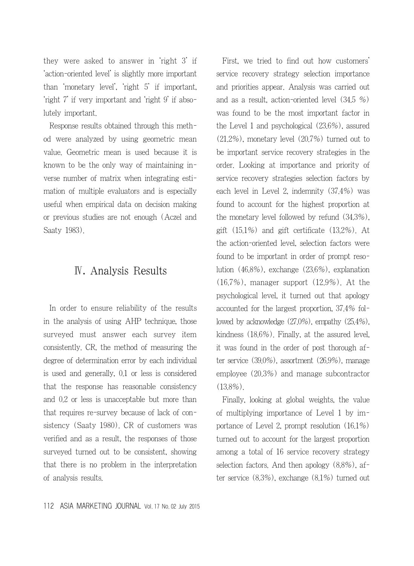they were asked to answer in 'right 3' if 'action-oriented level' is slightly more important than 'monetary level', 'right 5' if important, 'right 7' if very important and 'right 9' if absolutely important.

Response results obtained through this method were analyzed by using geometric mean value. Geometric mean is used because it is known to be the only way of maintaining inverse number of matrix when integrating estimation of multiple evaluators and is especially useful when empirical data on decision making or previous studies are not enough (Aczel and Saaty 1983).

## Ⅳ. Analysis Results

In order to ensure reliability of the results in the analysis of using AHP technique, those surveyed must answer each survey item consistently. CR, the method of measuring the degree of determination error by each individual is used and generally, 0.1 or less is considered that the response has reasonable consistency and 0.2 or less is unacceptable but more than that requires re-survey because of lack of consistency (Saaty 1980). CR of customers was verified and as a result, the responses of those surveyed turned out to be consistent, showing that there is no problem in the interpretation of analysis results.

First, we tried to find out how customers' service recovery strategy selection importance and priorities appear. Analysis was carried out and as a result, action-oriented level (34.5 %) was found to be the most important factor in the Level 1 and psychological (23.6%), assured (21.2%), monetary level (20.7%) turned out to be important service recovery strategies in the order. Looking at importance and priority of service recovery strategies selection factors by each level in Level 2, indemnity (37.4%) was found to account for the highest proportion at the monetary level followed by refund (34.3%), gift (15.1%) and gift certificate (13.2%). At the action-oriented level, selection factors were found to be important in order of prompt resolution (46.8%), exchange (23.6%), explanation (16.7%), manager support (12.9%). At the psychological level, it turned out that apology accounted for the largest proportion, 37.4% followed by acknowledge (27.0%), empathy (25.4%), kindness (18.6%). Finally, at the assured level, it was found in the order of post thorough after service (39.0%), assortment (26.9%), manage employee (20.3%) and manage subcontractor (13.8%).

Finally, looking at global weights, the value of multiplying importance of Level 1 by importance of Level 2, prompt resolution (16.1%) turned out to account for the largest proportion among a total of 16 service recovery strategy selection factors. And then apology (8.8%), after service (8.3%), exchange (8.1%) turned out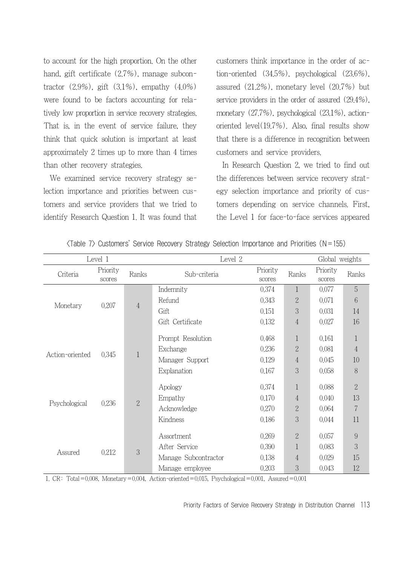to account for the high proportion. On the other hand, gift certificate  $(2.7%)$ , manage subcontractor  $(2.9\%)$ , gift  $(3.1\%)$ , empathy  $(4.0\%)$ were found to be factors accounting for relatively low proportion in service recovery strategies. That is, in the event of service failure, they think that quick solution is important at least approximately 2 times up to more than 4 times than other recovery strategies.

We examined service recovery strategy selection importance and priorities between customers and service providers that we tried to identify Research Question 1. It was found that customers think importance in the order of action-oriented (34.5%), psychological (23.6%), assured (21.2%), monetary level (20.7%) but service providers in the order of assured (29.4%), monetary (27.7%), psychological (23.1%), actionoriented level(19.7%). Also, final results show that there is a difference in recognition between customers and service providers.

In Research Question 2, we tried to find out the differences between service recovery strategy selection importance and priority of customers depending on service channels. First, the Level 1 for face-to-face services appeared

| Level 1           |                    |                | Level 2              |                    |                | Global weights     |                |
|-------------------|--------------------|----------------|----------------------|--------------------|----------------|--------------------|----------------|
| Criteria          | Priority<br>scores | Ranks          | Sub-criteria         | Priority<br>scores | Ranks          | Priority<br>scores | Ranks          |
|                   |                    |                | Indemnity            | 0.374              | $\mathbf{1}$   | 0.077              | 5              |
| 0.207<br>Monetary |                    | $\overline{4}$ | Refund               | 0.343              | $\overline{2}$ | 0.071              | 6              |
|                   |                    |                | Gift                 | 0.151              | 3              | 0.031              | 14             |
|                   |                    |                | Gift Certificate     | 0.132              | 4              | 0.027              | 16             |
|                   |                    |                | Prompt Resolution    | 0.468              | $\mathbf{1}$   | 0.161              |                |
| Action-oriented   |                    | $\mathbf{1}$   | Exchange             | 0.236              | $\overline{2}$ | 0.081              | $\overline{4}$ |
|                   | 0.345              |                | Manager Support      | 0.129              | 4              | 0.045              | 10             |
|                   |                    |                | Explanation          | 0.167              | 3              | 0.058              | 8              |
|                   |                    |                | Apology              | 0.374              | 1              | 0.088              | $\overline{2}$ |
|                   | 0.236              | $\sqrt{2}$     | Empathy              | 0.170              | $\overline{4}$ | 0.040              | 13             |
| Psychological     |                    |                | Acknowledge          | 0.270              | $\overline{2}$ | 0.064              | $\overline{7}$ |
|                   |                    | Kindness       | 0.186                | 3                  | 0.044          | 11                 |                |
|                   |                    |                | Assortment           | 0.269              | $\overline{2}$ | 0.057              | 9              |
| Assured           | 0.212              | 3              | After Service        | 0.390              | 1              | 0.083              | 3              |
|                   |                    |                | Manage Subcontractor | 0.138              | $\overline{4}$ | 0.029              | 15             |
|                   |                    |                | Manage employee      | 0.203              | 3              | 0.043              | 12             |

| $\langle$ Table 7 $\rangle$ Customers' Service Recovery Strategy Selection Importance and Priorities (N = 155) |  |  |  |  |  |
|----------------------------------------------------------------------------------------------------------------|--|--|--|--|--|
|----------------------------------------------------------------------------------------------------------------|--|--|--|--|--|

1. CR: Total=0.008, Monetary=0.004, Action-oriented=0.015, Psychological=0.001, Assured=0.001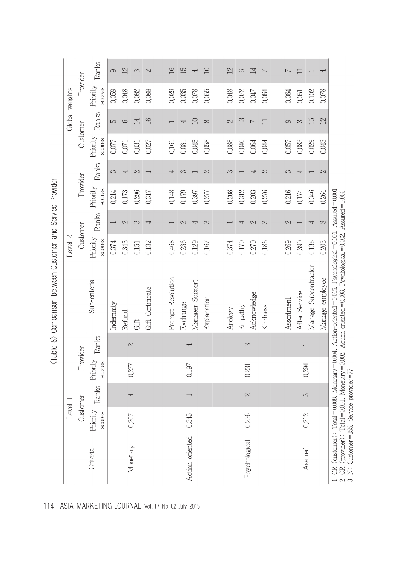|                 | Level              |       |                           |       |                                                                                                                                      | Level 2                   |               |                    |               |                    |                | Global weights     |                |
|-----------------|--------------------|-------|---------------------------|-------|--------------------------------------------------------------------------------------------------------------------------------------|---------------------------|---------------|--------------------|---------------|--------------------|----------------|--------------------|----------------|
|                 | Custon             | ner   | Provider                  |       |                                                                                                                                      | Customer                  |               | Provider           |               | Customer           |                | Provider           |                |
| Criteria        | Priority<br>scores | Ranks | Priority<br><b>SCOTES</b> | Ranks | Sub-criteria                                                                                                                         | Priority<br><b>SCOTES</b> | Ranks         | Priority<br>scores | Ranks         | Priority<br>scores | Ranks          | Priority<br>scores | Ranks          |
|                 |                    |       |                           |       | Indemnity                                                                                                                            | 0,374                     |               | 0.214              | 3             | 0.077              | S              | 0.059              | 0              |
| Monetary        | $0.207\,$          | 4     | 0,277                     | 2     | Refund                                                                                                                               | 0.343                     | $\sim$        | 0.173              | ₹             | 0.071              | $\circ$        | 0.048              | $^{12}$        |
|                 |                    |       |                           |       | Gift                                                                                                                                 | 0.151                     | S             | 0.296              | $\mathcal{C}$ | 0,031              | 14             | 0,082              | 3              |
|                 |                    |       |                           |       | Gift Certificate                                                                                                                     | 0,132                     | ₹             | 0,317              |               | 0.027              | 16             | 0,088              | $\mathcal{C}$  |
|                 |                    |       |                           |       |                                                                                                                                      |                           |               |                    |               |                    |                |                    |                |
|                 |                    |       |                           |       | Prompt Resolution                                                                                                                    | 0.468                     |               | 0.148              | Į             | 0.161              |                | 0.029              | 16             |
|                 |                    |       | 0,197                     | Ą     | Exchange                                                                                                                             | 0,236                     | 2             | 0.179              | 3             | 0.081              | 4              | 0,035              | 15             |
| Action-oriented | 0.345              |       |                           |       | Manager Support                                                                                                                      | 0.129                     | ↤             | 0.397              |               | 0.045              | $\Xi$          | 0.078              | 4              |
|                 |                    |       |                           |       | Explanation                                                                                                                          | 0.167                     | က             | 0.277              | $\mathcal{C}$ | 0,058              | $\infty$       | 0.055              | 10             |
|                 |                    |       |                           |       |                                                                                                                                      |                           |               |                    |               |                    |                |                    |                |
|                 |                    |       |                           |       | Apology                                                                                                                              | 0.374                     |               | 0.208              | 3             | 0.088              | 2              | 0.048              | $\mathfrak{L}$ |
|                 |                    | 2     |                           | 3     | Empathy                                                                                                                              | 0.170                     | ₹             | 0,312              |               | 0.040              | 13             | 0,072              | 9              |
| Psychological   | 0.236              |       | 0.231                     |       | Acknowledge                                                                                                                          | 0.270                     | $\mathcal{C}$ | 0.203              | ₹             | 0.064              | $\overline{ }$ | 0.047              | $\mathbb{1}$   |
|                 |                    |       |                           |       | Kindness                                                                                                                             | 0,186                     | S             | 0,276              | 2             | 0,044              | $\Box$         | 0.064              | $\overline{C}$ |
|                 |                    |       |                           |       |                                                                                                                                      |                           |               |                    |               |                    |                |                    |                |
|                 |                    |       |                           |       | Assortment                                                                                                                           | 0.269                     | $\mathcal{C}$ | 0.216              | S             | 0.057              | 9              | 0.064              | 7              |
|                 | 0.212              | 3     | 0.294                     |       | After Service                                                                                                                        | 0,390                     |               | 0.174              |               | 0.083              | S              | 0.051              | 〓              |
| Assured         |                    |       |                           |       | Manage Subcontractor                                                                                                                 | 0,138                     | ₹             | 0.346              |               | 0.029              | 15             | 0.102              |                |
|                 |                    |       |                           |       | Manage employee                                                                                                                      | 0.203                     | 3             | 0.264              | 2             | 0.043              | 12             | 0,078              | 4              |
|                 |                    |       |                           |       | CR (customer): $\text{Total} = 0.008$ . Monetary $= 0.004$ . Action-oriented $= 0.015$ . Psychological $= 0.001$ . Assured $= 0.001$ |                           |               |                    |               |                    |                |                    |                |

(Table 8) Comparison between Customer and Service Drovider

114 ASIA MARKETING JOURNAL Vol. 17 No. 02 July 2015

r. en (eusanier): Total – vioux, wunetary – viou+, Action-oriented – vioux, r sychological – vioux, Assured – viou<br>2. CR (provider): Total =0.001, Monetary =0.002, Action-oriented =0.008, Psychological =0.002, Assured =0.0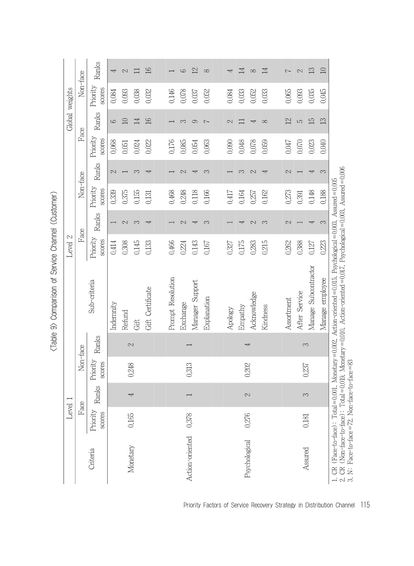|                                                   | Level              | $\overline{\phantom{0}}$ |                           |                          |                                                                                                                                                                                                                            | Level 2                   |               |                    |               |                           | Global weights |                    |                |
|---------------------------------------------------|--------------------|--------------------------|---------------------------|--------------------------|----------------------------------------------------------------------------------------------------------------------------------------------------------------------------------------------------------------------------|---------------------------|---------------|--------------------|---------------|---------------------------|----------------|--------------------|----------------|
|                                                   |                    | Face                     | Non-face                  |                          |                                                                                                                                                                                                                            | Face                      |               | Non-face           |               | Face                      |                | Non-face           |                |
| Criteria                                          | Priority<br>scores | Ranks                    | Priority<br><b>SCOTES</b> | Ranks                    | Sub-criteria                                                                                                                                                                                                               | Priority<br><b>SCOTES</b> | Ranks         | Priority<br>scores | Ranks         | Priority<br><b>SCOTES</b> | Ranks          | Priority<br>scores | Ranks          |
|                                                   |                    |                          |                           |                          | Indemnity                                                                                                                                                                                                                  | 0.414                     |               | 0.339              | $\mathcal{C}$ | 0,068                     | 9              | 0.084              | Ą              |
|                                                   |                    | Ą                        |                           | 2                        | Refund                                                                                                                                                                                                                     | 0,308                     | $\mathcal{C}$ | 0.375              |               | 0.051                     | $\Box$         | 0.093              | $\mathcal{C}$  |
| Monetary                                          | 0.165              |                          | 0,248                     |                          | Gift                                                                                                                                                                                                                       | 0,145                     | S             | 0.155              | 3             | 0.024                     | $\mathbb{1}$   | 0,038              | 〓              |
|                                                   |                    |                          |                           |                          | Gift Certificate                                                                                                                                                                                                           | 0,133                     | ₹             | 0,131              | ↵             | 0,022                     | 16             | 0,032              | 16             |
|                                                   |                    |                          |                           |                          |                                                                                                                                                                                                                            |                           |               |                    |               |                           |                |                    |                |
|                                                   |                    |                          |                           |                          | Prompt Resolution                                                                                                                                                                                                          | 0.466                     |               | 0.468              |               | 0.176                     |                | 0.146              |                |
|                                                   |                    |                          |                           | $\overline{\phantom{0}}$ | Exchange                                                                                                                                                                                                                   | 0.224                     | $\sim$        | 0.248              | $\mathbb{C}$  | 0.085                     | S              | 0.078              | $\circ$        |
| Action-oriented                                   | 0.378              |                          | 0,313                     |                          | Manager Support                                                                                                                                                                                                            | 0,143                     | ₹             | 0.118              | ↤             | 0.054                     | 0              | 0.037              | $\mathfrak{L}$ |
|                                                   |                    |                          |                           |                          | Explanation                                                                                                                                                                                                                | 0.167                     | က             | 0,166              | S             | 0,063                     | $\overline{ }$ | 0.052              | $\infty$       |
|                                                   |                    |                          |                           |                          |                                                                                                                                                                                                                            |                           |               |                    |               |                           |                |                    |                |
|                                                   |                    |                          |                           |                          | Apology                                                                                                                                                                                                                    | 0,327                     |               | 0.417              |               | 0.090                     | $\mathcal{C}$  | 0.084              | 4              |
| Psychological                                     | 0.276              |                          | 0,202                     | 4                        | Empathy                                                                                                                                                                                                                    | 0.175                     | ↵             | 0.164              | 3             | 0.048                     | 〓              | 0,033              | 14             |
|                                                   |                    | 2                        |                           |                          | Acknowledge                                                                                                                                                                                                                | 0,283                     | $\mathcal{C}$ | 0.257              | 2             | 0.078                     | ↤              | 0,052              | $\infty$       |
|                                                   |                    |                          |                           |                          | Kindness                                                                                                                                                                                                                   | 0,215                     | S             | 0,162              | ₹             | 0,059                     | $\infty$       | 0,033              | 14             |
|                                                   |                    |                          |                           |                          |                                                                                                                                                                                                                            |                           |               |                    |               |                           |                |                    |                |
|                                                   |                    |                          |                           |                          | Assortment                                                                                                                                                                                                                 | 0.262                     | 2             | 0.273              | 2             | 0.047                     | 12             | 0.065              | $\overline{ }$ |
|                                                   | 0,181              | 3                        | 0,237                     | 3                        | After Service                                                                                                                                                                                                              | 0,388                     |               | 0.391              |               | 0.070                     | LO             | 0.093              | $\mathcal{C}$  |
| Assured                                           |                    |                          |                           |                          | Manage Subcontractor                                                                                                                                                                                                       | 0,127                     | ↵             | 0.148              |               | 0,023                     | 15             | 0.035              | 13             |
|                                                   |                    |                          |                           |                          | Manage employee                                                                                                                                                                                                            | 0,223                     | 3             | 0.188              | S             | 0,040                     | 13             | 0.045              | 10             |
| N: Face-to-face=72, Non-face-to-face=83<br>.<br>പ |                    |                          |                           |                          | CR (Non-face-to-face): Total=0.019, Monetary=0.010, Action-oriented=0.017, Psychological=0.003, Assured=0.006<br>CR (Face-to-face): Total=0,001, Monetary=0,002, Action-oriented=0,015, Psychological=0,003, Assured=0,005 |                           |               |                    |               |                           |                |                    |                |

<Table 9> Comparison of Service Channel (Customer)

Priority Factors of Service Recovery Strategy in Distribution Channel 115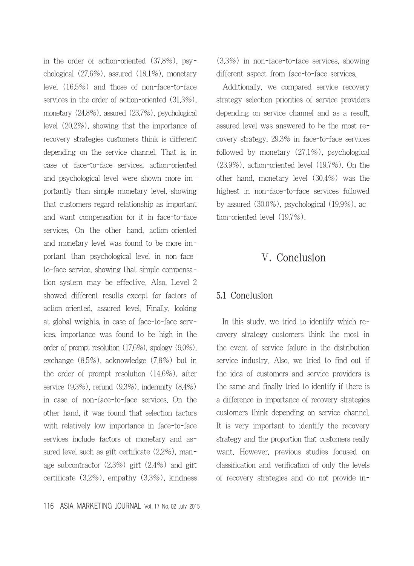in the order of action-oriented (37.8%), psychological (27.6%), assured (18.1%), monetary level (16.5%) and those of non-face-to-face services in the order of action-oriented (31.3%), monetary (24.8%), assured (23.7%), psychological level (20.2%), showing that the importance of recovery strategies customers think is different depending on the service channel. That is, in case of face-to-face services, action-oriented and psychological level were shown more importantly than simple monetary level, showing that customers regard relationship as important and want compensation for it in face-to-face services. On the other hand, action-oriented and monetary level was found to be more important than psychological level in non-faceto-face service, showing that simple compensation system may be effective. Also, Level 2 showed different results except for factors of action-oriented, assured level. Finally, looking at global weights, in case of face-to-face services, importance was found to be high in the order of prompt resolution (17.6%), apology (9.0%), exchange (8.5%), acknowledge (7.8%) but in the order of prompt resolution (14.6%), after service (9.3%), refund (9.3%), indemnity (8.4%) in case of non-face-to-face services. On the other hand, it was found that selection factors with relatively low importance in face-to-face services include factors of monetary and assured level such as gift certificate (2.2%), manage subcontractor (2.3%) gift (2.4%) and gift certificate (3.2%), empathy (3.3%), kindness (3.3%) in non-face-to-face services, showing different aspect from face-to-face services.

Additionally, we compared service recovery strategy selection priorities of service providers depending on service channel and as a result, assured level was answered to be the most recovery strategy, 29.3% in face-to-face services followed by monetary (27.1%), psychological (23.9%), action-oriented level (19.7%). On the other hand, monetary level (30.4%) was the highest in non-face-to-face services followed by assured (30.0%), psychological (19.9%), action-oriented level (19.7%).

## Ⅴ. Conclusion

#### 5.1 Conclusion

In this study, we tried to identify which recovery strategy customers think the most in the event of service failure in the distribution service industry. Also, we tried to find out if the idea of customers and service providers is the same and finally tried to identify if there is a difference in importance of recovery strategies customers think depending on service channel. It is very important to identify the recovery strategy and the proportion that customers really want. However, previous studies focused on classification and verification of only the levels of recovery strategies and do not provide in-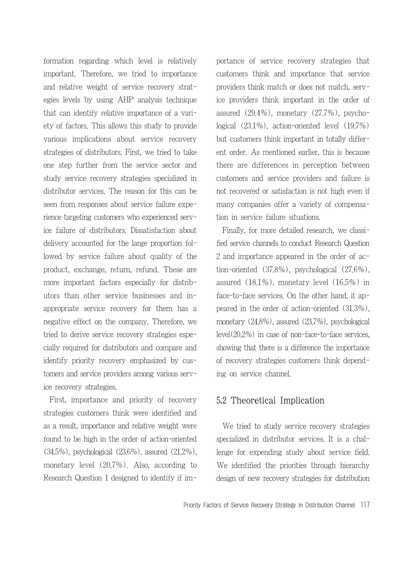formation regarding which level is relatively important. Therefore, we tried to importance and relative weight of service recovery strategies levels by using AHP analysis technique that can identify relative importance of a variety of factors. This allows this study to provide various implications about service recovery strategies of distributors. First, we tried to take one step further from the service sector and study service recovery strategies specialized in distributor services. The reason for this can be seen from responses about service failure experience targeting customers who experienced service failure of distributors. Dissatisfaction about delivery accounted for the large proportion followed by service failure about quality of the product, exchange, return, refund. These are more important factors especially for distributors than other service businesses and inappropriate service recovery for them has a negative effect on the company. Therefore, we tried to derive service recovery strategies especially required for distributors and compare and identify priority recovery emphasized by customers and service providers among various service recovery strategies.

First, importance and priority of recovery strategies customers think were identified and as a result, importance and relative weight were found to be high in the order of action-oriented (34.5%), psychological (23.6%), assured (21.2%), monetary level (20.7%). Also, according to Research Question 1 designed to identify if importance of service recovery strategies that customers think and importance that service providers think match or does not match, service providers think important in the order of assured (29.4%), monetary (27.7%), psychological (23.1%), action-oriented level (19.7%) but customers think important in totally different order. As mentioned earlier, this is because there are differences in perception between customers and service providers and failure is not recovered or satisfaction is not high even if many companies offer a variety of compensation in service failure situations.

Finally, for more detailed research, we classified service channels to conduct Research Question 2 and importance appeared in the order of action-oriented (37.8%), psychological (27.6%), assured (18.1%), monetary level (16.5%) in face-to-face services. On the other hand, it appeared in the order of action-oriented (31.3%), monetary (24.8%), assured (23.7%), psychological level(20.2%) in case of non-face-to-face services, showing that there is a difference the importance of recovery strategies customers think depending on service channel.

### 5.2 Theoretical Implication

We tried to study service recovery strategies specialized in distributor services. It is a challenge for expending study about service field. We identified the priorities through hierarchy design of new recovery strategies for distribution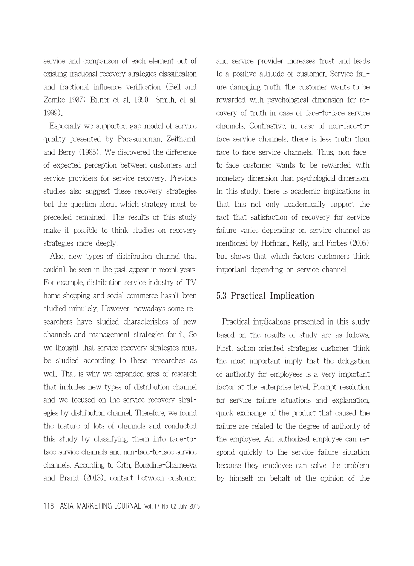service and comparison of each element out of existing fractional recovery strategies classification and fractional influence verification (Bell and Zemke 1987; Bitner et al. 1990; Smith, et al. 1999).

Especially we supported gap model of service quality presented by Parasuraman, Zeithaml, and Berry (1985). We discovered the difference of expected perception between customers and service providers for service recovery. Previous studies also suggest these recovery strategies but the question about which strategy must be preceded remained. The results of this study make it possible to think studies on recovery strategies more deeply.

Also, new types of distribution channel that couldn't be seen in the past appear in recent years. For example, distribution service industry of TV home shopping and social commerce hasn't been studied minutely. However, nowadays some researchers have studied characteristics of new channels and management strategies for it. So we thought that service recovery strategies must be studied according to these researches as well. That is why we expanded area of research that includes new types of distribution channel and we focused on the service recovery strategies by distribution channel. Therefore, we found the feature of lots of channels and conducted this study by classifying them into face-toface service channels and non-face-to-face service channels. According to Orth, Bouzdine-Chameeva and Brand (2013), contact between customer and service provider increases trust and leads to a positive attitude of customer. Service failure damaging truth, the customer wants to be rewarded with psychological dimension for recovery of truth in case of face-to-face service channels. Contrastive, in case of non-face-toface service channels, there is less truth than face-to-face service channels. Thus, non-faceto-face customer wants to be rewarded with monetary dimension than psychological dimension. In this study, there is academic implications in that this not only academically support the fact that satisfaction of recovery for service failure varies depending on service channel as mentioned by Hoffman, Kelly, and Forbes (2005) but shows that which factors customers think important depending on service channel.

### 5.3 Practical Implication

Practical implications presented in this study based on the results of study are as follows. First, action-oriented strategies customer think the most important imply that the delegation of authority for employees is a very important factor at the enterprise level. Prompt resolution for service failure situations and explanation, quick exchange of the product that caused the failure are related to the degree of authority of the employee. An authorized employee can respond quickly to the service failure situation because they employee can solve the problem by himself on behalf of the opinion of the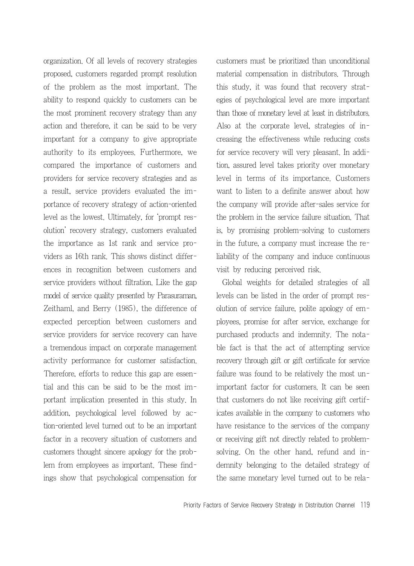organization. Of all levels of recovery strategies proposed, customers regarded prompt resolution of the problem as the most important. The ability to respond quickly to customers can be the most prominent recovery strategy than any action and therefore, it can be said to be very important for a company to give appropriate authority to its employees. Furthermore, we compared the importance of customers and providers for service recovery strategies and as a result, service providers evaluated the importance of recovery strategy of action-oriented level as the lowest. Ultimately, for 'prompt resolution' recovery strategy, customers evaluated the importance as 1st rank and service providers as 16th rank. This shows distinct differences in recognition between customers and service providers without filtration. Like the gap model of service quality presented by Parasuraman, Zeithaml, and Berry (1985), the difference of expected perception between customers and service providers for service recovery can have a tremendous impact on corporate management activity performance for customer satisfaction. Therefore, efforts to reduce this gap are essential and this can be said to be the most important implication presented in this study. In addition, psychological level followed by action-oriented level turned out to be an important factor in a recovery situation of customers and customers thought sincere apology for the problem from employees as important. These findings show that psychological compensation for customers must be prioritized than unconditional material compensation in distributors. Through this study, it was found that recovery strategies of psychological level are more important than those of monetary level at least in distributors. Also at the corporate level, strategies of increasing the effectiveness while reducing costs for service recovery will very pleasant. In addition, assured level takes priority over monetary level in terms of its importance. Customers want to listen to a definite answer about how the company will provide after-sales service for the problem in the service failure situation. That is, by promising problem-solving to customers in the future, a company must increase the reliability of the company and induce continuous visit by reducing perceived risk.

Global weights for detailed strategies of all levels can be listed in the order of prompt resolution of service failure, polite apology of employees, promise for after service, exchange for purchased products and indemnity. The notable fact is that the act of attempting service recovery through gift or gift certificate for service failure was found to be relatively the most unimportant factor for customers. It can be seen that customers do not like receiving gift certificates available in the company to customers who have resistance to the services of the company or receiving gift not directly related to problemsolving. On the other hand, refund and indemnity belonging to the detailed strategy of the same monetary level turned out to be rela-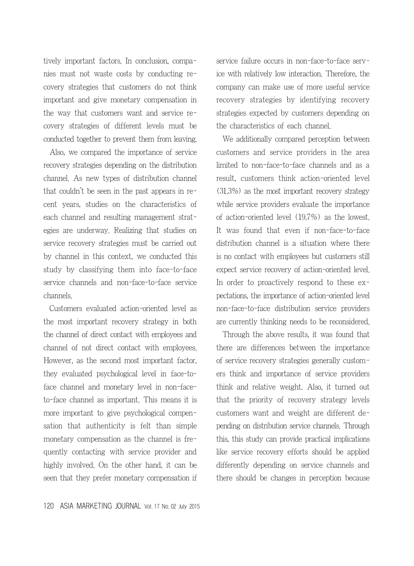tively important factors. In conclusion, companies must not waste costs by conducting recovery strategies that customers do not think important and give monetary compensation in the way that customers want and service recovery strategies of different levels must be conducted together to prevent them from leaving.

Also, we compared the importance of service recovery strategies depending on the distribution channel. As new types of distribution channel that couldn't be seen in the past appears in recent years, studies on the characteristics of each channel and resulting management strategies are underway. Realizing that studies on service recovery strategies must be carried out by channel in this context, we conducted this study by classifying them into face-to-face service channels and non-face-to-face service channels.

Customers evaluated action-oriented level as the most important recovery strategy in both the channel of direct contact with employees and channel of not direct contact with employees. However, as the second most important factor, they evaluated psychological level in face-toface channel and monetary level in non-faceto-face channel as important. This means it is more important to give psychological compensation that authenticity is felt than simple monetary compensation as the channel is frequently contacting with service provider and highly involved. On the other hand, it can be seen that they prefer monetary compensation if

company can make use of more useful service recovery strategies by identifying recovery strategies expected by customers depending on the characteristics of each channel. We additionally compared perception between

service failure occurs in non-face-to-face service with relatively low interaction. Therefore, the

customers and service providers in the area limited to non-face-to-face channels and as a result, customers think action-oriented level (31.3%) as the most important recovery strategy while service providers evaluate the importance of action-oriented level (19.7%) as the lowest. It was found that even if non-face-to-face distribution channel is a situation where there is no contact with employees but customers still expect service recovery of action-oriented level. In order to proactively respond to these expectations, the importance of action-oriented level non-face-to-face distribution service providers are currently thinking needs to be reconsidered.

Through the above results, it was found that there are differences between the importance of service recovery strategies generally customers think and importance of service providers think and relative weight. Also, it turned out that the priority of recovery strategy levels customers want and weight are different depending on distribution service channels. Through this, this study can provide practical implications like service recovery efforts should be applied differently depending on service channels and there should be changes in perception because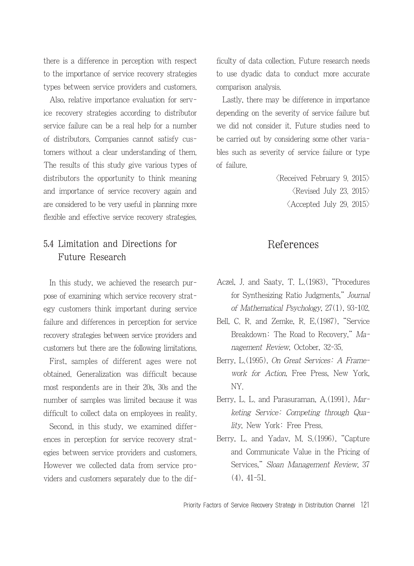there is a difference in perception with respect to the importance of service recovery strategies types between service providers and customers.

Also, relative importance evaluation for service recovery strategies according to distributor service failure can be a real help for a number of distributors. Companies cannot satisfy customers without a clear understanding of them. The results of this study give various types of distributors the opportunity to think meaning and importance of service recovery again and are considered to be very useful in planning more flexible and effective service recovery strategies.

## 5.4 Limitation and Directions for Future Research

In this study, we achieved the research purpose of examining which service recovery strategy customers think important during service failure and differences in perception for service recovery strategies between service providers and customers but there are the following limitations.

First, samples of different ages were not obtained. Generalization was difficult because most respondents are in their 20s, 30s and the number of samples was limited because it was difficult to collect data on employees in reality.

Second, in this study, we examined differences in perception for service recovery strategies between service providers and customers. However we collected data from service providers and customers separately due to the difficulty of data collection. Future research needs to use dyadic data to conduct more accurate comparison analysis.

Lastly, there may be difference in importance depending on the severity of service failure but we did not consider it. Future studies need to be carried out by considering some other variables such as severity of service failure or type of failure.

> $\langle$ Received February 9. 2015 $\rangle$  $\langle$ Revised July 23. 2015 $\rangle$  $\langle$  Accepted July 29, 2015 $\rangle$

## References

- Aczel, J. and Saaty, T. L.(1983), "Procedures for Synthesizing Ratio Judgments," Journal of Mathematical Psychology, 27(1), 93-102.
- Bell, C. R. and Zemke, R. E.(1987), "Service Breakdown: The Road to Recovery," Management Review, October, 32-35.
- Berry, L.(1995), On Great Services: A Framework for Action, Free Press, New York, NY.
- Berry, L. L. and Parasuraman, A. (1991), Marketing Service: Competing through Quality, New York: Free Press.
- Berry, L. and Yadav, M. S.(1996), "Capture and Communicate Value in the Pricing of Services," Sloan Management Review, 37 (4), 41-51.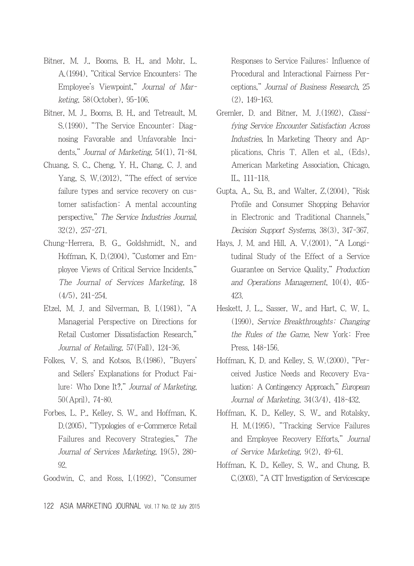- Bitner, M. J., Booms, B. H., and Mohr, L. A.(1994), "Critical Service Encounters: The Employee's Viewpoint," Journal of Marketing, 58(October), 95-106.
- Bitner, M. J., Booms, B. H., and Tetreault, M. S.(1990), "The Service Encounter: Diagnosing Favorable and Unfavorable Incidents," Journal of Marketing, 54(1), 71-84.
- Chuang, S. C., Cheng, Y. H., Chang, C. J. and Yang, S. W.(2012), "The effect of service failure types and service recovery on customer satisfaction: A mental accounting perspective," The Service Industries Journal, 32(2), 257-271.
- Chung-Herrera, B. G., Goldshmidt, N., and Hoffman, K. D.(2004), "Customer and Employee Views of Critical Service Incidents," The Journal of Services Marketing, 18 (4/5), 241-254.
- Etzel, M. J. and Silverman, B. I.(1981), "A Managerial Perspective on Directions for Retail Customer Dissatisfaction Research," Journal of Retailing, 57(Fall), 124-36.
- Folkes, V. S. and Kotsos, B.(1986), "Buyers' and Sellers' Explanations for Product Failure: Who Done It?," Journal of Marketing, 50(April), 74-80.
- Forbes, L. P., Kelley, S. W., and Hoffman, K. D.(2005), "Typologies of e-Commerce Retail Failures and Recovery Strategies," The Journal of Services Marketing, 19(5), 280- 92.

Goodwin, C. and Ross, I.(1992), "Consumer

Responses to Service Failures: Influence of Procedural and Interactional Fairness Perceptions," Journal of Business Research, 25 (2), 149-163.

- Gremler, D. and Bitner, M. J.(1992), Classifying Service Encounter Satisfaction Across Industries, In Marketing Theory and Applications, Chris T. Allen et al., (Eds), American Marketing Association, Chicago, IL, 111-118.
- Gupta, A., Su, B., and Walter, Z.(2004), "Risk Profile and Consumer Shopping Behavior in Electronic and Traditional Channels," Decision Support Systems, 38(3), 347-367.
- Hays, J. M. and Hill, A. V.(2001), "A Longitudinal Study of the Effect of a Service Guarantee on Service Quality," Production and Operations Management, 10(4), 405- 423.
- Heskett, J. L., Sasser, W., and Hart, C. W. L. (1990), Service Breakthroughts: Changing the Rules of the Game, New York: Free Press, 148-156.
- Hoffman, K. D. and Kelley, S. W.(2000), "Perceived Justice Needs and Recovery Evaluation: A Contingency Approach," European Journal of Marketing, 34(3/4), 418-432.
- Hoffman, K. D., Kelley, S. W., and Rotalsky, H. M.(1995), "Tracking Service Failures and Employee Recovery Efforts," Journal of Service Marketing, 9(2), 49-61.
- Hoffman, K. D., Kelley, S. W., and Chung, B. C.(2003), "A CIT Investigation of Servicescape

122 ASIA MARKETING JOURNAL Vol. 17 No. 02 July 2015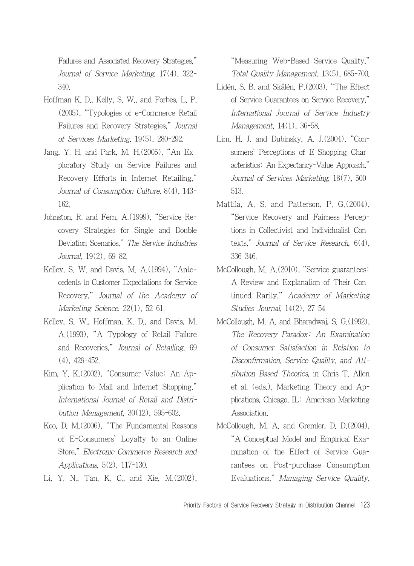Failures and Associated Recovery Strategies," Journal of Service Marketing, 17(4), 322- 340.

- Hoffman K. D., Kelly, S. W., and Forbes, L. P. (2005), "Typologies of e-Commerce Retail Failures and Recovery Strategies," Journal of Services Marketing, 19(5), 280-292.
- Jang, Y. H. and Park, M. H.(2005), "An Exploratory Study on Service Failures and Recovery Efforts in Internet Retailing," Journal of Consumption Culture, 8(4), 143- 162.
- Johnston, R. and Fern, A.(1999), "Service Recovery Strategies for Single and Double Deviation Scenarios," The Service Industries Journal, 19(2), 69-82.
- Kelley, S. W. and Davis, M. A.(1994), "Antecedents to Customer Expectations for Service Recovery," Journal of the Academy of Marketing Science, 22(1), 52-61.
- Kelley, S. W., Hoffman, K. D., and Davis, M. A.(1993), "A Typology of Retail Failure and Recoveries," Journal of Retailing, 69 (4), 429-452.
- Kim, Y. K.(2002), "Consumer Value: An Application to Mall and Internet Shopping," International Journal of Retail and Distribution Management, 30(12), 595-602.
- Koo, D. M.(2006), "The Fundamental Reasons of E-Consumers' Loyalty to an Online Store," Electronic Commerce Research and Applications, 5(2), 117-130.
- Li, Y. N., Tan, K. C., and Xie, M.(2002),

"Measuring Web-Based Service Quality," Total Quality Management, 13(5), 685-700.

- Lidén, S. B. and Skålén, P.(2003), "The Effect of Service Guarantees on Service Recovery," International Journal of Service Industry Management, 14(1), 36-58.
- Lim, H. J. and Dubinsky, A. J.(2004), "Consumers' Perceptions of E-Shopping Characteristics: An Expectancy-Value Approach," Journal of Services Marketing, 18(7), 500- 513.
- Mattila, A. S. and Patterson, P. G.(2004), "Service Recovery and Fairness Perceptions in Collectivist and Individualist Contexts," Journal of Service Research, 6(4), 336-346.
- McCollough, M. A.(2010), "Service guarantees: A Review and Explanation of Their Continued Rarity," Academy of Marketing Studies Journal, 14(2), 27-54
- McCollough, M. A. and Bharadwaj, S. G.(1992), The Recovery Paradox: An Examination of Consumer Satisfaction in Relation to Disconfirmation, Service Quality, and Attribution Based Theories, in Chris T. Allen et al. (eds.), Marketing Theory and Applications, Chicago, IL: American Marketing Association.
- McCollough, M. A. and Gremler, D. D.(2004), "A Conceptual Model and Empirical Examination of the Effect of Service Guarantees on Post-purchase Consumption Evaluations," Managing Service Quality,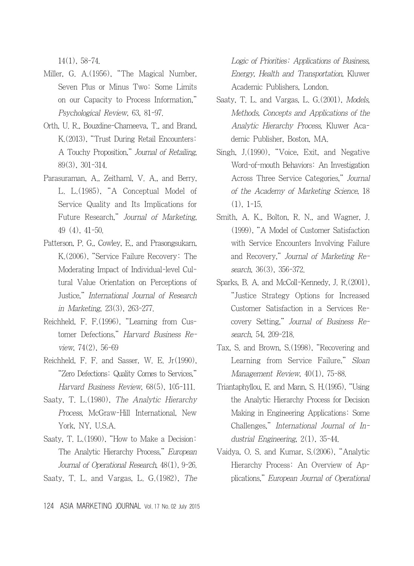14(1), 58-74.

- Miller, G. A.(1956), "The Magical Number, Seven Plus or Minus Two: Some Limits on our Capacity to Process Information," Psychological Review, 63, 81-97.
- Orth, U. R., Bouzdine-Chameeva, T., and Brand, K.(2013), "Trust During Retail Encounters: A Touchy Proposition," Journal of Retailing, 89(3), 301-314.
- Parasuraman, A., Zeithaml, V. A., and Berry, L. L.(1985), "A Conceptual Model of Service Quality and Its Implications for Future Research," Journal of Marketing, 49 (4), 41-50.
- Patterson, P. G., Cowley, E., and Prasongsukarn, K.(2006), "Service Failure Recovery: The Moderating Impact of Individual-level Cultural Value Orientation on Perceptions of Justice," International Journal of Research in Marketing, 23(3), 263-277.
- Reichheld, F. F.(1996), "Learning from Customer Defections," Harvard Business Review, 74(2), 56-69
- Reichheld, F. F. and Sasser, W. E. Jr(1990), "Zero Defections: Quality Comes to Services," Harvard Business Review, 68(5), 105-111.
- Saaty, T. L.(1980), The Analytic Hierarchy Process, McGraw-Hill International, New York, NY, U.S.A.
- Saaty, T. L.(1990), "How to Make a Decision: The Analytic Hierarchy Process," European Journal of Operational Research, 48(1), 9-26.
- Saaty, T. L. and Vargas, L. G.(1982), The

Logic of Priorities: Applications of Business, Energy, Health and Transportation, Kluwer Academic Publishers, London.

- Saaty, T. L. and Vargas, L. G.(2001), Models, Methods, Concepts and Applications of the Analytic Hierarchy Process, Kluwer Academic Publisher, Boston, MA.
- Singh, J.(1990), "Voice, Exit, and Negative Word-of-mouth Behaviors: An Investigation Across Three Service Categories," Journal of the Academy of Marketing Science, 18 (1), 1-15.
- Smith, A. K., Bolton, R. N., and Wagner, J. (1999), "A Model of Customer Satisfaction with Service Encounters Involving Failure and Recovery," Journal of Marketing Research, 36(3), 356-372.
- Sparks, B. A. and McColl-Kennedy, J. R.(2001), "Justice Strategy Options for Increased Customer Satisfaction in a Services Recovery Setting," Journal of Business Research, 54, 209-218.
- Tax, S. and Brown, S.(1998), "Recovering and Learning from Service Failure," Sloan Management Review, 40(1), 75-88.
- Triantaphyllou, E. and Mann, S. H.(1995), "Using the Analytic Hierarchy Process for Decision Making in Engineering Applications: Some Challenges," International Journal of Industrial Engineering, 2(1), 35-44.
- Vaidya, O. S. and Kumar, S.(2006), "Analytic Hierarchy Process: An Overview of Applications," European Journal of Operational

124 ASIA MARKETING JOURNAL Vol. 17 No. 02 July 2015